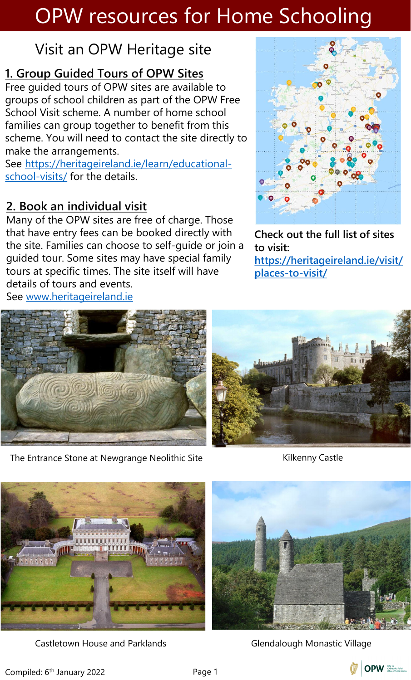### Visit an OPW Heritage site

#### **1. Group Guided Tours of OPW Sites**

Free guided tours of OPW sites are available to groups of school children as part of the OPW Free School Visit scheme. A number of home school families can group together to benefit from this scheme. You will need to contact the site directly to make the arrangements.

[See https://heritageireland.ie/learn/educational](https://heritageireland.ie/learn/educational-school-visits/)school-visits/ for the details.

#### **2. Book an individual visit**

Many of the OPW sites are free of charge. Those that have entry fees can be booked directly with the site. Families can choose to self-guide or join a guided tour. Some sites may have special family tours at specific times. The site itself will have details of tours and events. See [www.heritageireland.ie](http://www.heritageireland.ie/)



**Check out the full list of sites to visit:** 

**[https://heritageireland.ie/visit/](https://heritageireland.ie/visit/places-to-visit/) places-to-visit/**



The Entrance Stone at Newgrange Neolithic Site Kilkenny Castle



Castletown House and Parklands **Glendalough Monastic Village** 



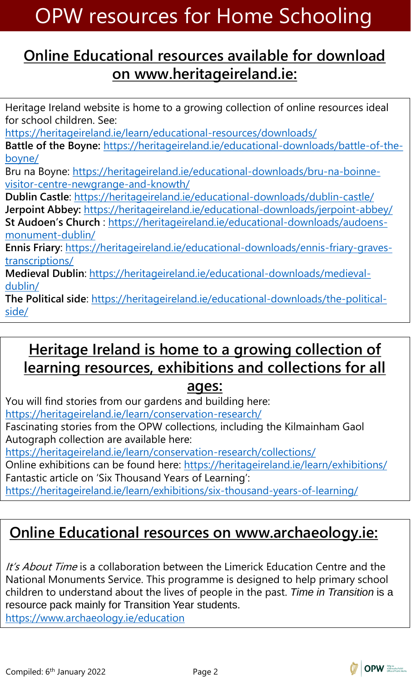#### **Online Educational resources available for download on www.heritageireland.ie:**

Heritage Ireland website is home to a growing collection of online resources ideal for school children. See: <https://heritageireland.ie/learn/educational-resources/downloads/> **Battle of the Boyne:** [https://heritageireland.ie/educational-downloads/battle-of-the](https://heritageireland.ie/educational-downloads/battle-of-the-boyne/)boyne/ [Bru na Boyne: https://heritageireland.ie/educational-downloads/bru-na-boinne](https://heritageireland.ie/educational-downloads/bru-na-boinne-visitor-centre-newgrange-and-knowth/)visitor-centre-newgrange-and-knowth/ **Dublin Castle**:<https://heritageireland.ie/educational-downloads/dublin-castle/> **Jerpoint Abbey:** <https://heritageireland.ie/educational-downloads/jerpoint-abbey/> **St Audoen's Church** [: https://heritageireland.ie/educational-downloads/audoens](https://heritageireland.ie/educational-downloads/audoens-monument-dublin/)monument-dublin/ **Ennis Friary**[: https://heritageireland.ie/educational-downloads/ennis-friary-graves](https://heritageireland.ie/educational-downloads/ennis-friary-graves-transcriptions/)transcriptions/ **Medieval Dublin**[: https://heritageireland.ie/educational-downloads/medieval](https://heritageireland.ie/educational-downloads/medieval-dublin/)dublin/ **The Political side**[: https://heritageireland.ie/educational-downloads/the-political](https://heritageireland.ie/educational-downloads/the-political-side/)side/

### **Heritage Ireland is home to a growing collection of learning resources, exhibitions and collections for all**

**ages:**

You will find stories from our gardens and building here: <https://heritageireland.ie/learn/conservation-research/>

Fascinating stories from the OPW collections, including the Kilmainham Gaol Autograph collection are available here:

<https://heritageireland.ie/learn/conservation-research/collections/>

Online exhibitions can be found here: <https://heritageireland.ie/learn/exhibitions/> Fantastic article on 'Six Thousand Years of Learning':

<https://heritageireland.ie/learn/exhibitions/six-thousand-years-of-learning/>

### **Online Educational resources on www.archaeology.ie:**

It's About Time is a collaboration between the Limerick Education Centre and the National Monuments Service. This programme is designed to help primary school children to understand about the lives of people in the past. *Time in Transition* is a resource pack mainly for Transition Year students.

<https://www.archaeology.ie/education>

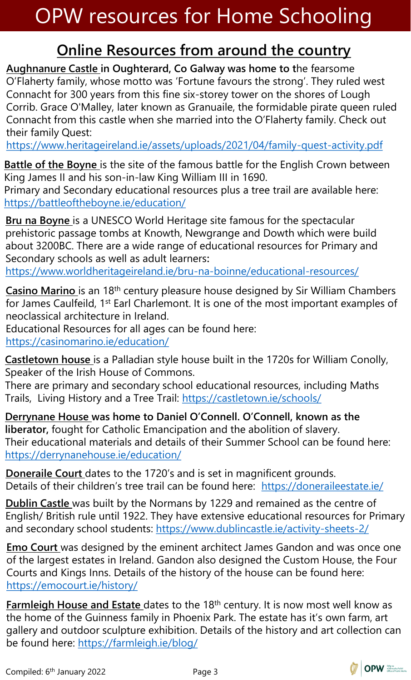### **Online Resources from around the country**

**Aughnanure Castle in Oughterard, Co Galway was home to t**he fearsome O'Flaherty family, whose motto was 'Fortune favours the strong'. They ruled west Connacht for 300 years from this fine six-storey tower on the shores of Lough Corrib. Grace O'Malley, later known as Granuaile, the formidable pirate queen ruled Connacht from this castle when she married into the O'Flaherty family. Check out their family Quest:

<https://www.heritageireland.ie/assets/uploads/2021/04/family-quest-activity.pdf>

**Battle of the Boyne** is the site of the famous battle for the English Crown between King James II and his son-in-law King William III in 1690.

Primary and Secondary educational resources plus a tree trail are available here: <https://battleoftheboyne.ie/education/>

**Bru na Boyne** is a UNESCO World Heritage site famous for the spectacular prehistoric passage tombs at Knowth, Newgrange and Dowth which were build about 3200BC. There are a wide range of educational resources for Primary and Secondary schools as well as adult learners**:**

<https://www.worldheritageireland.ie/bru-na-boinne/educational-resources/>

**Casino Marino** is an 18th century pleasure house designed by Sir William Chambers for James Caulfeild, 1<sup>st</sup> Earl Charlemont. It is one of the most important examples of neoclassical architecture in Ireland.

Educational Resources for all ages can be found here: <https://casinomarino.ie/education/>

**Castletown house** is a Palladian style house built in the 1720s for William Conolly, Speaker of the Irish House of Commons.

There are primary and secondary school educational resources, including Maths Trails, Living History and a Tree Trail:<https://castletown.ie/schools/>

**Derrynane House was home to Daniel O'Connell. O'Connell, known as the liberator,** fought for Catholic Emancipation and the abolition of slavery. Their educational materials and details of their Summer School can be found here: <https://derrynanehouse.ie/education/>

**Doneraile Court** dates to the 1720's and is set in magnificent grounds. Details of their children's tree trail can be found here: <https://doneraileestate.ie/>

**Dublin Castle** was built by the Normans by 1229 and remained as the centre of English/ British rule until 1922. They have extensive educational resources for Primary and secondary school students:<https://www.dublincastle.ie/activity-sheets-2/>

**Emo Court** was designed by the eminent architect James Gandon and was once one of the largest estates in Ireland. Gandon also designed the Custom House, the Four Courts and Kings Inns. Details of the history of the house can be found here: <https://emocourt.ie/history/>

**Farmleigh House and Estate** dates to the 18th century. It is now most well know as the home of the Guinness family in Phoenix Park. The estate has it's own farm, art gallery and outdoor sculpture exhibition. Details of the history and art collection can be found here:<https://farmleigh.ie/blog/>

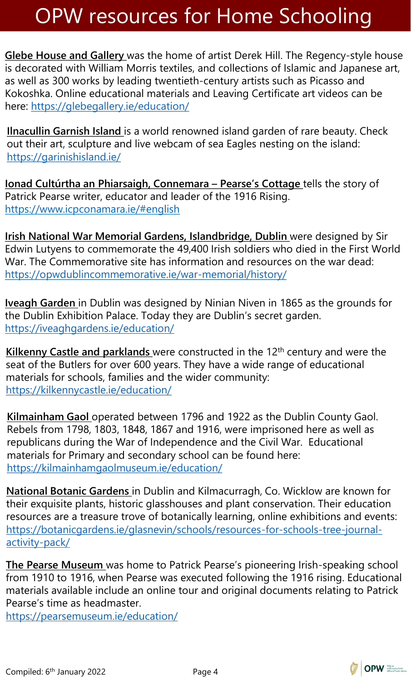**Glebe House and Gallery** was the home of artist Derek Hill. The Regency-style house is decorated with William Morris textiles, and collections of Islamic and Japanese art, as well as 300 works by leading twentieth-century artists such as Picasso and Kokoshka. Online educational materials and Leaving Certificate art videos can be here: <https://glebegallery.ie/education/>

**Ilnacullin Garnish Island** is a world renowned island garden of rare beauty. Check out their art, sculpture and live webcam of sea Eagles nesting on the island: <https://garinishisland.ie/>

**Ionad Cultúrtha an Phiarsaigh, Connemara – Pearse's Cottage** tells the story of Patrick Pearse writer, educator and leader of the 1916 Rising. <https://www.icpconamara.ie/#english>

**Irish National War Memorial Gardens, Islandbridge, Dublin** were designed by Sir Edwin Lutyens to commemorate the 49,400 Irish soldiers who died in the First World War. The Commemorative site has information and resources on the war dead: <https://opwdublincommemorative.ie/war-memorial/history/>

**Iveagh Garden** in Dublin was designed by Ninian Niven in 1865 as the grounds for the Dublin Exhibition Palace. Today they are Dublin's secret garden. <https://iveaghgardens.ie/education/>

**Kilkenny Castle and parklands** were constructed in the 12th century and were the seat of the Butlers for over 600 years. They have a wide range of educational materials for schools, families and the wider community: <https://kilkennycastle.ie/education/>

**Kilmainham Gaol** operated between 1796 and 1922 as the Dublin County Gaol. Rebels from 1798, 1803, 1848, 1867 and 1916, were imprisoned here as well as republicans during the War of Independence and the Civil War. Educational materials for Primary and secondary school can be found here: <https://kilmainhamgaolmuseum.ie/education/>

**National Botanic Gardens** in Dublin and Kilmacurragh, Co. Wicklow are known for their exquisite plants, historic glasshouses and plant conservation. Their education resources are a treasure trove of botanically learning, online exhibitions and events: [https://botanicgardens.ie/glasnevin/schools/resources-for-schools-tree-journal](https://botanicgardens.ie/glasnevin/schools/resources-for-schools-tree-journal-activity-pack/)activity-pack/

**The Pearse Museum** was home to Patrick Pearse's pioneering Irish-speaking school from 1910 to 1916, when Pearse was executed following the 1916 rising. Educational materials available include an online tour and original documents relating to Patrick Pearse's time as headmaster.

<https://pearsemuseum.ie/education/>